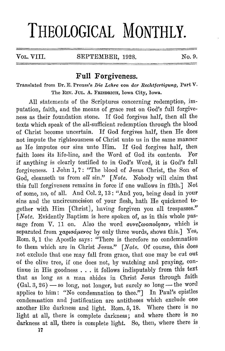## **THEOLOGICAL MONTHLY.**

## VOL. VIII. SEPTEMBER, 1928. No. 9.

## **Full Forgiveness.**

Translated from Dr. E. Preuss's *Die Lehre von der Rechtfertigung,* Part V. The REV. JUL. A. FRIEDRICH, Iowa City, Iowa.

All statements of the Scriptures concerning redemption, imputation, faith, and the means of grace rest on God's full forgiveness as their foundation stone. If God forgives half, then all the texts which speak of the all-sufficient redemption through the blood of Christ become uncertain. If God forgives half, then He does not impute the righteousness of Christ unto us in the same manner as He imputes our sins unto Him. If God forgives half, then faith loses its life-line, and the Word of God its contents. For if anything is clearly testified to in God's Word, it is God's full forgiveness. 1 John 1, 7: "The blood of Jesus Christ, the Son of God, cleanseth us from *all* sin." *[Note.* Nobody will claim that this full forgiveness remains in force if one wallows in filth.] Not of some, no, of all. And Col. 2, 13: "And you, being dead in your sins and the uncircumcision of your flesh, hath He quickened together with Him [Christ], having forgiven you all trespasses." *[Note.* Evidently Baptism is here spoken of, as in this whole passage from V. 11 on. Also the word *avveCwonolner*, which is separated from *yapioáµevos* by only three words, shows this.] Yes, Rom. 8, 1 the Apostle says: "There is therefore no condemnation to them which are in Christ Jesus." *[Note.* Of course, this does not exclude that one may fall from grace, that one may be cut out of the olive tree, if one does not, by watching and praying, continue in His goodness ... it follows indisputably from this text that as long as a man abides in Christ Jesus through faith  $(Gal. 3, 26)$  - so long, not longer, but surely so long - the word applies to him: "No condemnation to thee."] In Paul's epistles condemnation and justification are antitheses which exclude one another like darkness and light. Rom. 5, 18. Where there is no light at all, there is complete darkness; and where there is no darkness at all, there is complete light. So, then, where there is **17**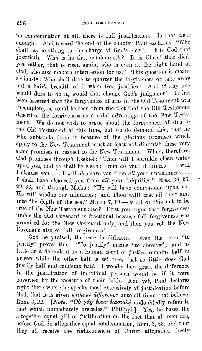no condemnation at all, there is full justification. Is that clear enough? And toward the end of the chapter Paul exclaims: "Who shall lay anything to the charge of God's elect? It is God that justifieth. Who is he that condemneth? It is Christ that died, yea rather, that is risen again, who is even at the right hand of God, who also maketh intercession for us." This question is meant seriously: Who shall dare to quarter the forgiveness or take away but a hair's breadth of it when God justifies? And if any one Would dare to do it, would that change God's judgment? It has been asserted that the forgiveness of sins in the Old Testament was incomplete, as could be seen from the fact that the Old Testament describes the forgiveness as a chief advantage of the Now Testament. We do not wish to argue about the forgiveness of sins in the Old Testament at this time, but we do demand this, that he who subtracts from it because of the glorious promises which apply to the New Testament must at least not diminish these very same promises in respect to the New Testament. When, therefore, God promises through Ezekiel: "Then will I sprinkle clean water<br>upon you, and ye shall be clean: from *all* your filthiness . . . will I cleanse you ... I will also save you from *all* your uncleanness · · · I shall have cleansed you from *all* your iniquities," Ezek. 36, 25.  $29.33$ , and through Micha: "He will have compassion upon us; He will subdue our iniquities; and Thou willt cast all their sins into the depth of the sea," Micah  $\frac{7}{7}$ , 19 — is all of this not to be true of the New Testament also? First you argue that forgiveness under the Old Covenant is fractional because full forgiveness was promised for the New Covenant only, and then you rob the New Covenant also of full forgiveness!

God be praised, the case is different. Even the term "to justify" proves this. "'11 <sup>0</sup>justify" means "to absolve"; and as little as a defendant in a human court of justice remains half in prison while the other half is set free, just so little does God justify half and condemn half. I wonder how great the difference m the justification of individual persons would be if it were governed by the measure of their faith. And yet, Paul declares right there where he speaks most extensively of justification before God, that it is given *without difference* unto all them that believe. Rom. 3, 22. *[Note. "Ov yág isuv diastolý* undoubtedly refers to that which immediately precedes." Philippi.] Yes, he bases the altogether equal gift of justification on the fact that all men are, before God, in altogether equal condemnation, Hom. 3, 23, and that they all receive the righteousness of Christ altogether freely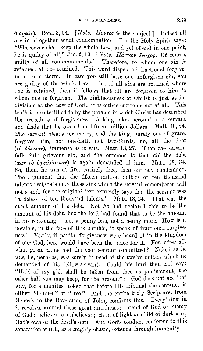$\delta$ ωρεάν). Rom. 3, 24. *[Note. Πάντες* is the subject.] Indeed all are in altogether equal condemnation. For the Holy Spirit says: "Whosoever shall 'keep the whole Law, and yet offend in one point, he is guilty of all," Jas. 2, 10. *[Note. Πάντων ἔνογος.* Of course, guilty of all commandments.] Therefore, to whom one sin is retaiued, all are retained. This word dispels all fractional forgiveness like a storm. In ease you still have one unforgiven sin, you are guilty of the whole Law. But if all sins are retained where one is retained, then it follows that all are forgiven to him to whom one is forgiven. The righteousness of Christ is just as in-<br>divisible as the Law of God: it is either outine or not at all. This divisible as the Law of God; it is either entire or not at all. truth is also testified to by the parable in which Christ has described the procedure of forgiveness. A king takes account of a servant and finds that he owes him fifteen million dollars. Matt. 18, 24. The servant pleads for mercy, and the king, purely out of grace, forgives him, not one-half, not two-thirds, no, all the debt  $(r_{0} \delta \phi_{\text{e}})$ , immense as it was. Matt. 18, 27. Then the servant falls into grievous sin, and the outcome is that *all* the debt  $(\pi \tilde{a} \nu \tau \dot{\phi} \partial \varphi \dot{\epsilon} \dot{\phi})$ *(* $\pi \tilde{a} \nu \tau \dot{\phi} \partial \varphi \dot{\epsilon} \dot{\phi}$ *)* is again demanded of him. Matt. 18, 34. So, then, he was at first entirely free, then entirely condemned. The argument that the fifteeu million dollars or ten thousand talents designate only those sins which the servant remembered will not stand, for the original text expressly says that the servant was "a debtor of ten thousand talents." Matt. 18, 24. That was the exact amount of his debt. Not *he* had declared this to be the amount of his debt, but the lord had found that to be the amount in his reckoning  $-$  not a penny less, not a penny more. How is it possible, in the face of this parable, to speak of fractional forgiveness? Verily, if partial forgiveness were heard of in the kingdom of our God, here would have been the place for it. For, after all, what great crime had the poor servant committed? Naked as he was, he, perhaps, was sorely in need of the twelve dollars which he demanded of his fellow-servant. Could his lord then not say: "Half of my gift shall be taken from thee as punishment, the other half you may keep, for the present"? God does not act that way, for a manifest token that before His tribunal the sentence is either "damned" or "free." And the entire Holy Scripture, from Genesis to the Revelation of John, confirms this. Everything in it revolves around these great antitheses: friend of God or enemy of God; believer or unbeliever; child of light or child of darkness; God's own or the devil's own. And God's conduct conforms to this separation which, as a mighty chasm, extends through humanity --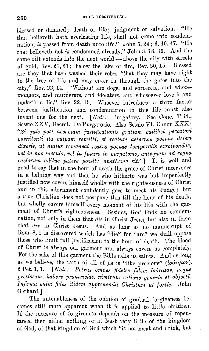blessed or damned; death or life; judgment or salvation. "He that believeth hath everlasting life, shall not come into condemnation, *is* passed from death unto life." John 5, 24 ; 6, 40. 47. "He that belicveth. not *is* condemned already," John 3, 18. 36. And the same rift extends into the next world $\sim$  above the city with streets of gold, Rev. 21, 21; below the lake of fire, Rev. 20, 15. Blessed arc they that have washed their robes "that they may have right to the tree of life and may enter in through the gates into the city," Rev. 22, 14. "Without are dogs, and sorcerers, and whoremongers, and murderers, and idolaters, and whosoever loveth and maketh a lie," Rev. 22, 15. Whoever introduces a third factor between justification and condemnation in this life must also invent one for the next. *[Note. Purgatory. See Cone. Trid.*, Sessio XXV, Decret. De Purgatorio. Also Sessio VI, Canon XXX: *"Si quis post acceptam justificationis gratiam cuilibet peccatori poenitenti ita culpam remitti, et reatnm aelernae poenae deleri dixerit, ut nullu.~ remaneat realus poenae temporalis exsolvendae,*  vel in hoc saeculo, vel in futuro in purgatorio, antequam ad regna *caelorum aditus patere possit: anathema sit."]* It is well and good to say that in the hour of death the grace of Christ intervenes in a helping way and that he who hitherto was but imperfectly justified now covers himself wholly with the righteousness of Christ and in this adornment confidently goes to meet his Judge; but a true Christian does not postpone this till the hour of his death, but wholly covers himself every moment of his life with the garment of Christ's righteousness. Besides, God finds no condemnation, not only in them that die in Christ Jesus, but also in them that *are* in Christ Jesus. And as long as no manuscript of Hom. 8, 1 is discovered which has "die" for "are" we shall oppose those who limit full justification to the hour of death. The blood of Christ is always our garment and always covers us completely. For the sake of this garment the Bible calls us saints. And as long as we believe, the faith of all of us is "like precious" *(lootupov)*. 2 Pet. **1,** 1. *[Note. Petrus ornnes fideles /idem la6nµov, aeque pretiosam, habere vronunciat, nimfrum ratione generis et objecti. lnfirma enirn fides itidem apprehendit Ohrislum id fortis.* John Gerhard.]

The untcnableness of the opinion of gradual forgiveness becomes still more apparent when it is applied to little children. If the measure of forgiveness depends on the measure of repentance, then either nothing or at least very little of the kingdom of God, of that kingdom of God which "is not meat and drink, but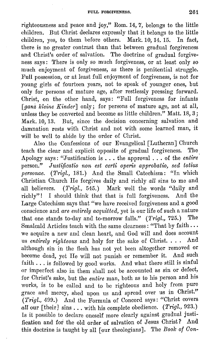righteousness and peace and joy," Hom. 14, 7, belongs to the little children. But Christ declares expressly that it belongs to the little children, yes, to them before others. Mark. 10, 14. 15. In fact, there is no greater contrast than that between gradual forgiveness and Christ's order of salvation. The doctrine of gradual forgiveness says: There is only so much forgiveness, or at least only so much enjoyment of forgiveness, as there is penitential struggle. Full possession, or at least full enjoyment of forgiveness, is not for young girls of fourteen years, not to speak of younger ones, but only for persons of mature age, after restlessly pressing forward. Christ, on the other hand, says: "Pull forgiveness for infants *[ganz kleine Kinder]* only; for persons of mature age, not at all, unless they be converted and become as little children." Matt.  $18, 3$ ; Mark. 10, 13. But, since the decision concerning salvation and damnation rests with Christ and not with some learned man, it will be well to abide by the order of Christ.

Also the Confessions of our Evangelical [Lutheran] Church teach the clear and explicit opposite of gradual forgiveness. The Apology says: "Justification is ... the approval ... of the *entire·*  person." *Justificatio non est certi operis approbatio, sed totius personae. (Trigl., 181.)* And the Small Catechism: "In which Christian Church He forgives daily and richly *all* sins to me and all believers. *(Trigl.,* 545.) Mark well the words "daily and richly"! I should think that that is full forgiveness. And the Large Catechism says that "we have received forgiveness and a good conscience and *are entirely acquitted*, yet is our life of such a nature<br>that one stands to-day and to-morrow falls." (Trial, 725.) The that one stands to-day and to-morrow falls." *(Trigl., 725.)* Smalcald Articles teach with the same clearness: "That by faith ... we acquire a new and clean heart, and God will and does account us *entirely righteous* and holy for the sake of Christ. . . . And although sin in the flesh has not yet been altogether removed or become dead, yet He will not punish or remember it. And such faith ... is followed by good works. And what there still is sinful or imperfect also in them shall not be accounted as sin or defect, for Christ's sake, but the *entfre* man, both as to his person and his works, is to be called and to be righteous and holy from pure grace and mercy, shed upon us and spread over us in Christ." (Trigl., 499.) And the Formula of Concord says: "Christ covers *ctll* our [their] sins ... with his complete obedience. *(Trigl.,* 923.) Is it possible to declare oneself more clearly against gradual justification and for the old order of salvation of Jesus Christ? And this doctrine is taught by all [our theologians]. The *Book of Con*-